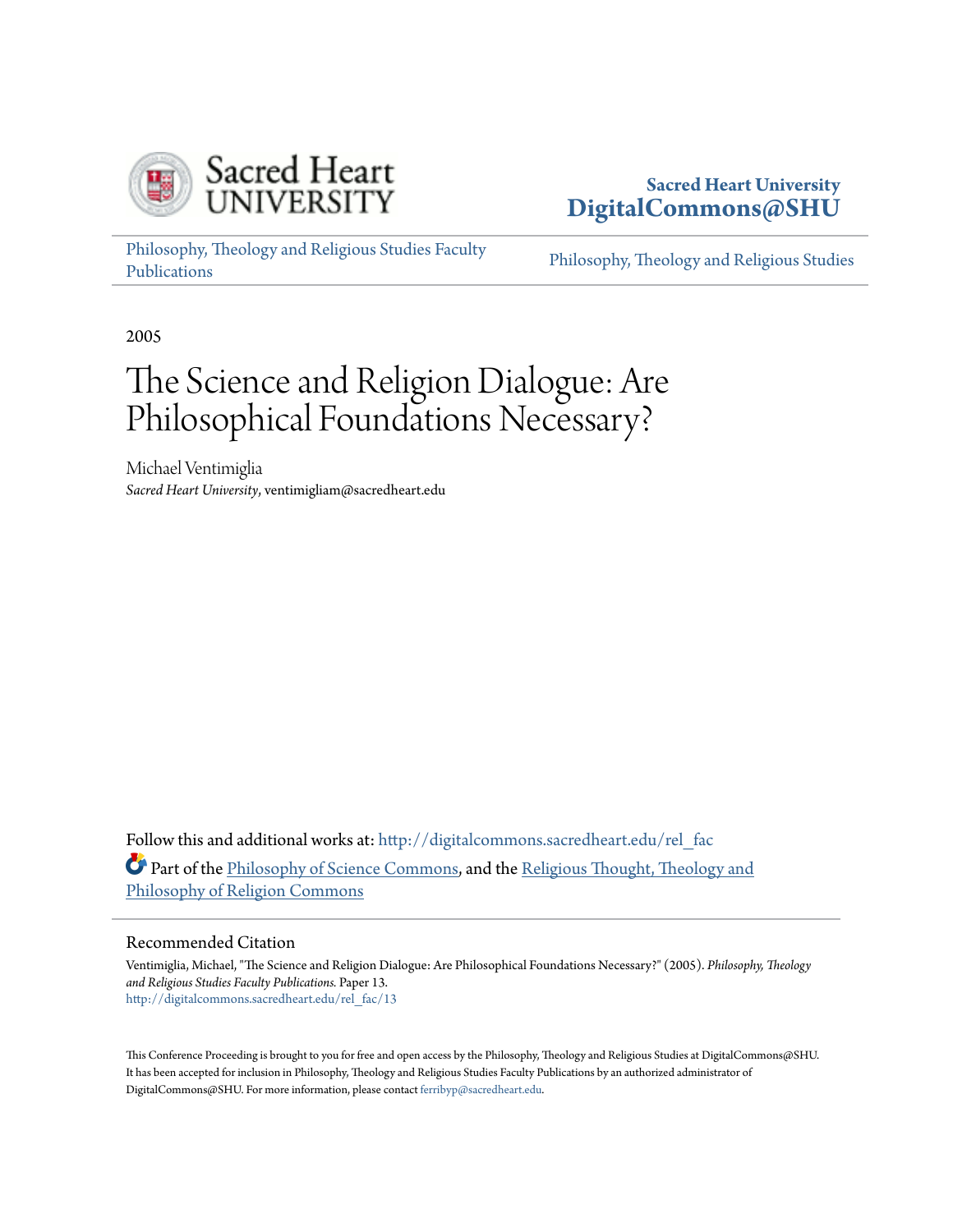

# **Sacred Heart University [DigitalCommons@SHU](http://digitalcommons.sacredheart.edu?utm_source=digitalcommons.sacredheart.edu%2Frel_fac%2F13&utm_medium=PDF&utm_campaign=PDFCoverPages)**

[Philosophy, Theology and Religious Studies Faculty](http://digitalcommons.sacredheart.edu/rel_fac?utm_source=digitalcommons.sacredheart.edu%2Frel_fac%2F13&utm_medium=PDF&utm_campaign=PDFCoverPages) [Publications](http://digitalcommons.sacredheart.edu/rel_fac?utm_source=digitalcommons.sacredheart.edu%2Frel_fac%2F13&utm_medium=PDF&utm_campaign=PDFCoverPages)

[Philosophy, Theology and Religious Studies](http://digitalcommons.sacredheart.edu/rel?utm_source=digitalcommons.sacredheart.edu%2Frel_fac%2F13&utm_medium=PDF&utm_campaign=PDFCoverPages)

2005

# The Science and Religion Dialogue: Are Philosophical Foundations Necessary?

Michael Ventimiglia *Sacred Heart University*, ventimigliam@sacredheart.edu

Follow this and additional works at: [http://digitalcommons.sacredheart.edu/rel\\_fac](http://digitalcommons.sacredheart.edu/rel_fac?utm_source=digitalcommons.sacredheart.edu%2Frel_fac%2F13&utm_medium=PDF&utm_campaign=PDFCoverPages) Part of the [Philosophy of Science Commons,](http://network.bepress.com/hgg/discipline/536?utm_source=digitalcommons.sacredheart.edu%2Frel_fac%2F13&utm_medium=PDF&utm_campaign=PDFCoverPages) and the [Religious Thought, Theology and](http://network.bepress.com/hgg/discipline/544?utm_source=digitalcommons.sacredheart.edu%2Frel_fac%2F13&utm_medium=PDF&utm_campaign=PDFCoverPages) [Philosophy of Religion Commons](http://network.bepress.com/hgg/discipline/544?utm_source=digitalcommons.sacredheart.edu%2Frel_fac%2F13&utm_medium=PDF&utm_campaign=PDFCoverPages)

#### Recommended Citation

Ventimiglia, Michael, "The Science and Religion Dialogue: Are Philosophical Foundations Necessary?" (2005). *Philosophy, Theology and Religious Studies Faculty Publications.* Paper 13. [http://digitalcommons.sacredheart.edu/rel\\_fac/13](http://digitalcommons.sacredheart.edu/rel_fac/13?utm_source=digitalcommons.sacredheart.edu%2Frel_fac%2F13&utm_medium=PDF&utm_campaign=PDFCoverPages)

This Conference Proceeding is brought to you for free and open access by the Philosophy, Theology and Religious Studies at DigitalCommons@SHU. It has been accepted for inclusion in Philosophy, Theology and Religious Studies Faculty Publications by an authorized administrator of DigitalCommons@SHU. For more information, please contact [ferribyp@sacredheart.edu](mailto:ferribyp@sacredheart.edu).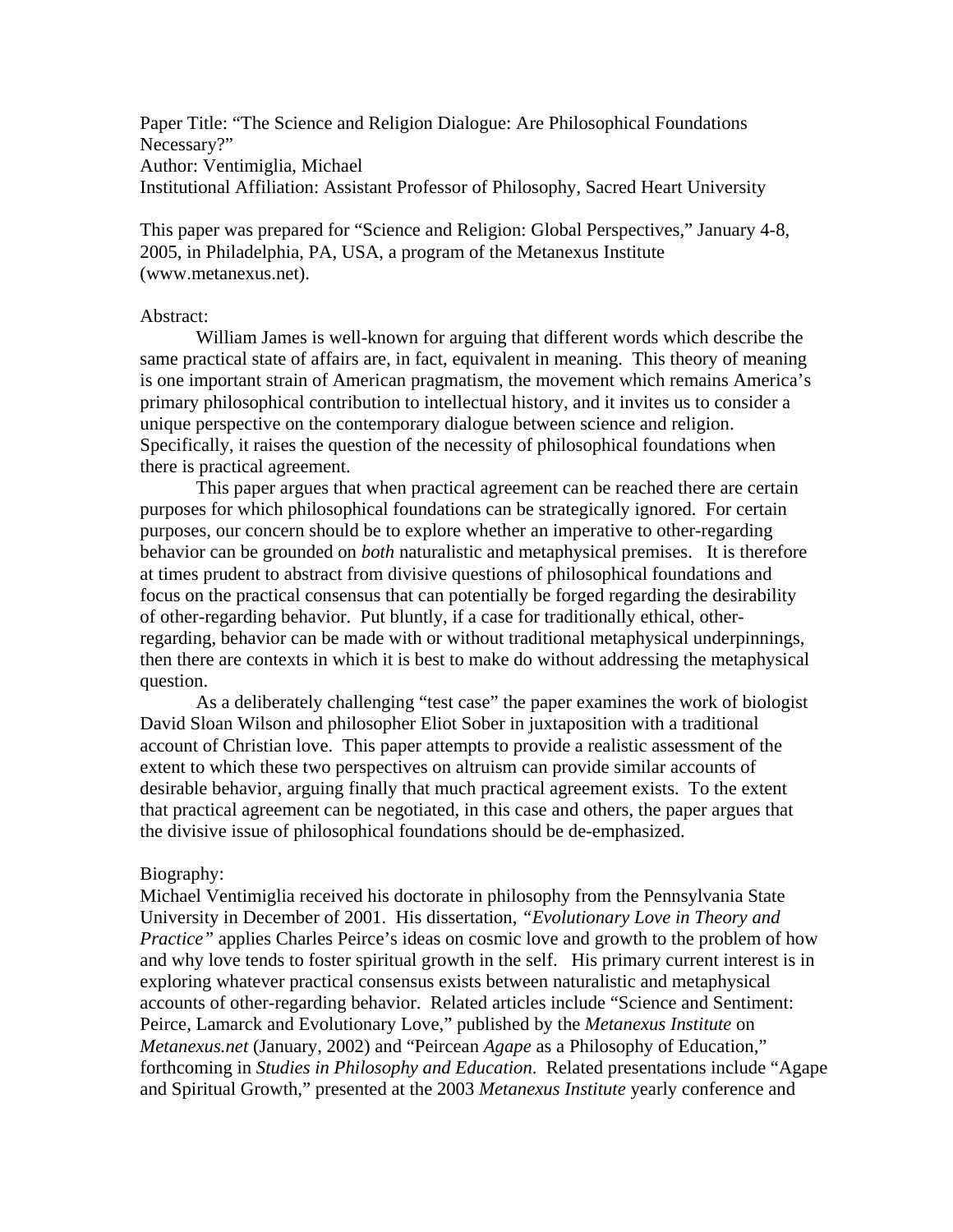Paper Title: "The Science and Religion Dialogue: Are Philosophical Foundations Necessary?" Author: Ventimiglia, Michael Institutional Affiliation: Assistant Professor of Philosophy, Sacred Heart University

This paper was prepared for "Science and Religion: Global Perspectives," January 4-8, 2005, in Philadelphia, PA, USA, a program of the Metanexus Institute (www.metanexus.net).

# Abstract:

William James is well-known for arguing that different words which describe the same practical state of affairs are, in fact, equivalent in meaning. This theory of meaning is one important strain of American pragmatism, the movement which remains America's primary philosophical contribution to intellectual history, and it invites us to consider a unique perspective on the contemporary dialogue between science and religion. Specifically, it raises the question of the necessity of philosophical foundations when there is practical agreement.

This paper argues that when practical agreement can be reached there are certain purposes for which philosophical foundations can be strategically ignored. For certain purposes, our concern should be to explore whether an imperative to other-regarding behavior can be grounded on *both* naturalistic and metaphysical premises. It is therefore at times prudent to abstract from divisive questions of philosophical foundations and focus on the practical consensus that can potentially be forged regarding the desirability of other-regarding behavior. Put bluntly, if a case for traditionally ethical, otherregarding, behavior can be made with or without traditional metaphysical underpinnings, then there are contexts in which it is best to make do without addressing the metaphysical question.

As a deliberately challenging "test case" the paper examines the work of biologist David Sloan Wilson and philosopher Eliot Sober in juxtaposition with a traditional account of Christian love. This paper attempts to provide a realistic assessment of the extent to which these two perspectives on altruism can provide similar accounts of desirable behavior, arguing finally that much practical agreement exists. To the extent that practical agreement can be negotiated, in this case and others, the paper argues that the divisive issue of philosophical foundations should be de-emphasized.

#### Biography:

Michael Ventimiglia received his doctorate in philosophy from the Pennsylvania State University in December of 2001. His dissertation, *"Evolutionary Love in Theory and Practice*" applies Charles Peirce's ideas on cosmic love and growth to the problem of how and why love tends to foster spiritual growth in the self. His primary current interest is in exploring whatever practical consensus exists between naturalistic and metaphysical accounts of other-regarding behavior. Related articles include "Science and Sentiment: Peirce, Lamarck and Evolutionary Love," published by the *Metanexus Institute* on *Metanexus.net* (January, 2002) and "Peircean *Agape* as a Philosophy of Education," forthcoming in *Studies in Philosophy and Education*. Related presentations include "Agape and Spiritual Growth," presented at the 2003 *Metanexus Institute* yearly conference and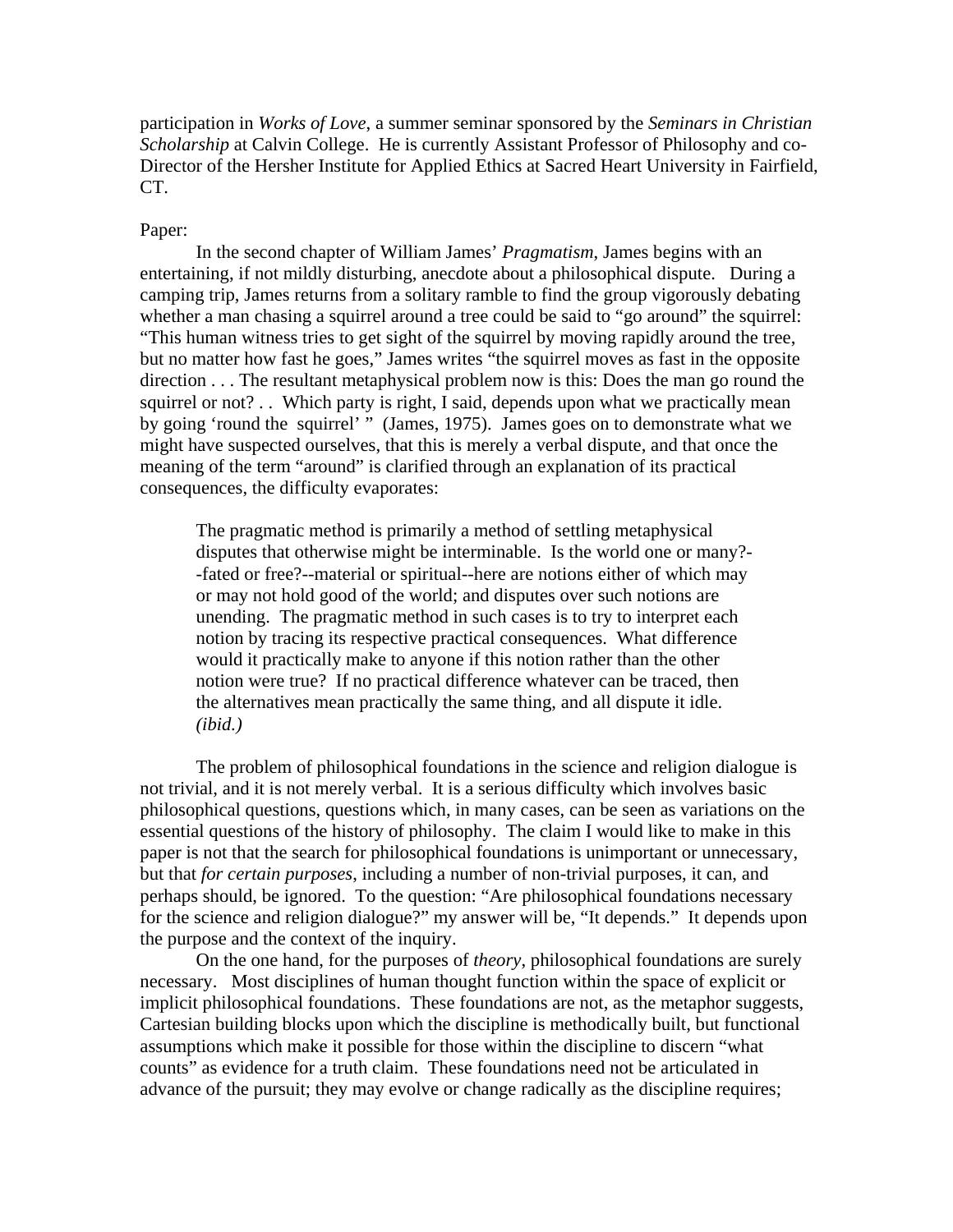participation in *Works of Love*, a summer seminar sponsored by the *Seminars in Christian Scholarship* at Calvin College. He is currently Assistant Professor of Philosophy and co-Director of the Hersher Institute for Applied Ethics at Sacred Heart University in Fairfield, CT.

#### Paper:

In the second chapter of William James' *Pragmatism*, James begins with an entertaining, if not mildly disturbing, anecdote about a philosophical dispute. During a camping trip, James returns from a solitary ramble to find the group vigorously debating whether a man chasing a squirrel around a tree could be said to "go around" the squirrel: "This human witness tries to get sight of the squirrel by moving rapidly around the tree, but no matter how fast he goes," James writes "the squirrel moves as fast in the opposite direction . . . The resultant metaphysical problem now is this: Does the man go round the squirrel or not? . . Which party is right, I said, depends upon what we practically mean by going 'round the squirrel' " (James, 1975). James goes on to demonstrate what we might have suspected ourselves, that this is merely a verbal dispute, and that once the meaning of the term "around" is clarified through an explanation of its practical consequences, the difficulty evaporates:

The pragmatic method is primarily a method of settling metaphysical disputes that otherwise might be interminable. Is the world one or many?- -fated or free?--material or spiritual--here are notions either of which may or may not hold good of the world; and disputes over such notions are unending. The pragmatic method in such cases is to try to interpret each notion by tracing its respective practical consequences. What difference would it practically make to anyone if this notion rather than the other notion were true? If no practical difference whatever can be traced, then the alternatives mean practically the same thing, and all dispute it idle. *(ibid.)*

The problem of philosophical foundations in the science and religion dialogue is not trivial, and it is not merely verbal. It is a serious difficulty which involves basic philosophical questions, questions which, in many cases, can be seen as variations on the essential questions of the history of philosophy. The claim I would like to make in this paper is not that the search for philosophical foundations is unimportant or unnecessary, but that *for certain purposes*, including a number of non-trivial purposes, it can, and perhaps should, be ignored. To the question: "Are philosophical foundations necessary for the science and religion dialogue?" my answer will be, "It depends." It depends upon the purpose and the context of the inquiry.

On the one hand, for the purposes of *theory*, philosophical foundations are surely necessary. Most disciplines of human thought function within the space of explicit or implicit philosophical foundations. These foundations are not, as the metaphor suggests, Cartesian building blocks upon which the discipline is methodically built, but functional assumptions which make it possible for those within the discipline to discern "what counts" as evidence for a truth claim. These foundations need not be articulated in advance of the pursuit; they may evolve or change radically as the discipline requires;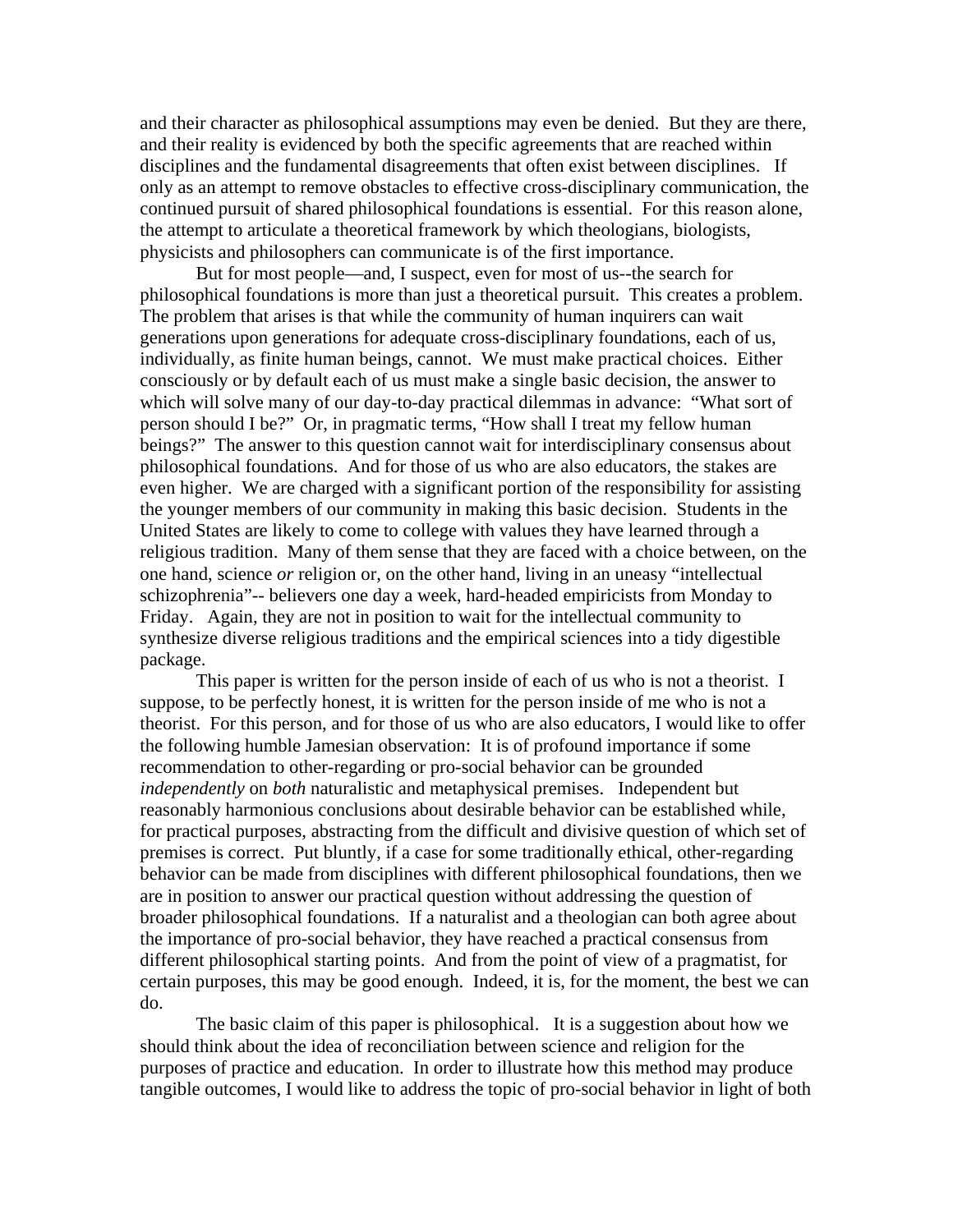and their character as philosophical assumptions may even be denied. But they are there, and their reality is evidenced by both the specific agreements that are reached within disciplines and the fundamental disagreements that often exist between disciplines. If only as an attempt to remove obstacles to effective cross-disciplinary communication, the continued pursuit of shared philosophical foundations is essential. For this reason alone, the attempt to articulate a theoretical framework by which theologians, biologists, physicists and philosophers can communicate is of the first importance.

 But for most people—and, I suspect, even for most of us--the search for philosophical foundations is more than just a theoretical pursuit. This creates a problem. The problem that arises is that while the community of human inquirers can wait generations upon generations for adequate cross-disciplinary foundations, each of us, individually, as finite human beings, cannot. We must make practical choices. Either consciously or by default each of us must make a single basic decision, the answer to which will solve many of our day-to-day practical dilemmas in advance: "What sort of person should I be?" Or, in pragmatic terms, "How shall I treat my fellow human beings?" The answer to this question cannot wait for interdisciplinary consensus about philosophical foundations. And for those of us who are also educators, the stakes are even higher. We are charged with a significant portion of the responsibility for assisting the younger members of our community in making this basic decision. Students in the United States are likely to come to college with values they have learned through a religious tradition. Many of them sense that they are faced with a choice between, on the one hand, science *or* religion or, on the other hand, living in an uneasy "intellectual schizophrenia"-- believers one day a week, hard-headed empiricists from Monday to Friday. Again, they are not in position to wait for the intellectual community to synthesize diverse religious traditions and the empirical sciences into a tidy digestible package.

This paper is written for the person inside of each of us who is not a theorist. I suppose, to be perfectly honest, it is written for the person inside of me who is not a theorist. For this person, and for those of us who are also educators, I would like to offer the following humble Jamesian observation: It is of profound importance if some recommendation to other-regarding or pro-social behavior can be grounded *independently* on *both* naturalistic and metaphysical premises. Independent but reasonably harmonious conclusions about desirable behavior can be established while, for practical purposes, abstracting from the difficult and divisive question of which set of premises is correct. Put bluntly, if a case for some traditionally ethical, other-regarding behavior can be made from disciplines with different philosophical foundations, then we are in position to answer our practical question without addressing the question of broader philosophical foundations. If a naturalist and a theologian can both agree about the importance of pro-social behavior, they have reached a practical consensus from different philosophical starting points. And from the point of view of a pragmatist, for certain purposes, this may be good enough. Indeed, it is, for the moment, the best we can do.

The basic claim of this paper is philosophical. It is a suggestion about how we should think about the idea of reconciliation between science and religion for the purposes of practice and education. In order to illustrate how this method may produce tangible outcomes, I would like to address the topic of pro-social behavior in light of both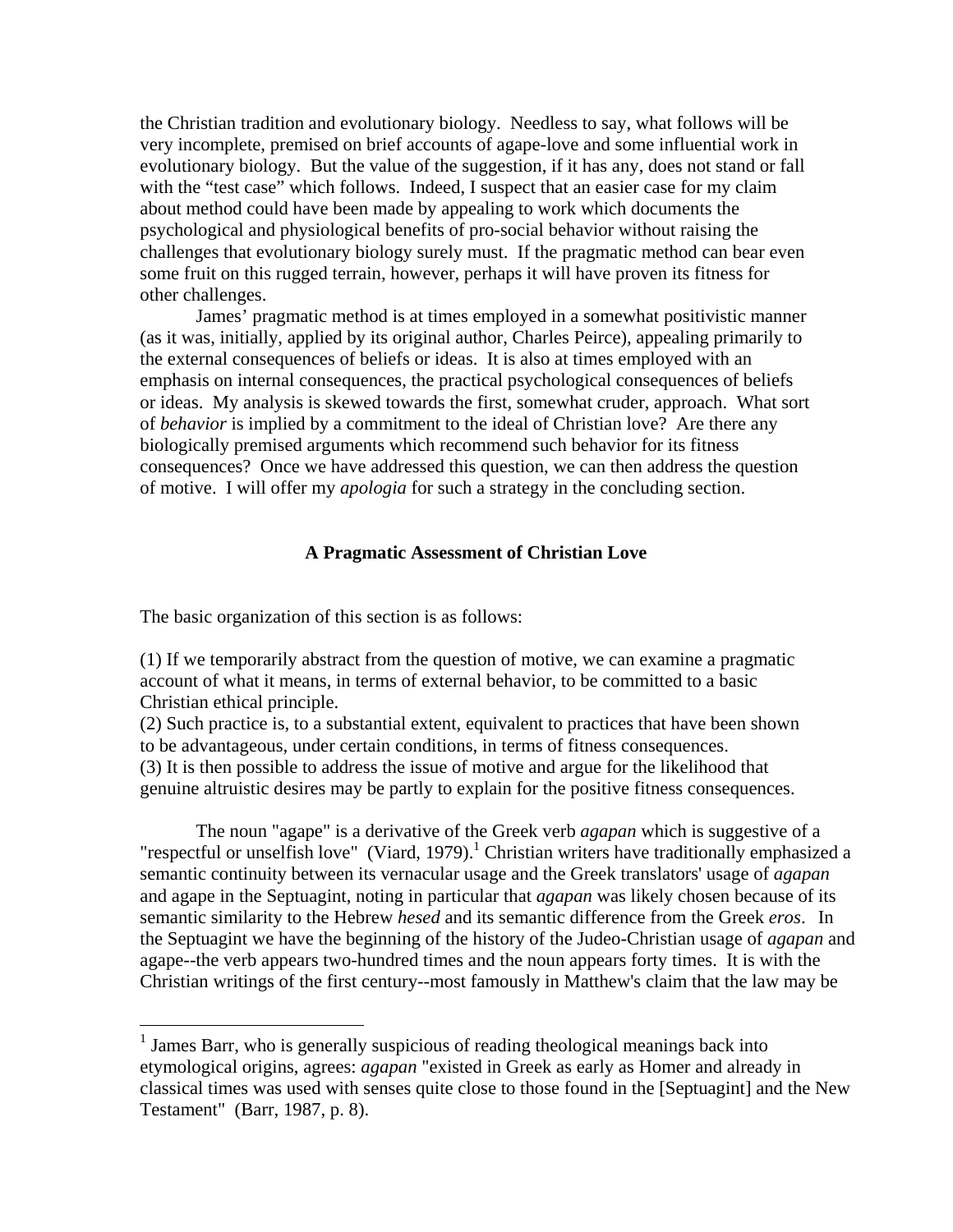the Christian tradition and evolutionary biology. Needless to say, what follows will be very incomplete, premised on brief accounts of agape-love and some influential work in evolutionary biology. But the value of the suggestion, if it has any, does not stand or fall with the "test case" which follows. Indeed, I suspect that an easier case for my claim about method could have been made by appealing to work which documents the psychological and physiological benefits of pro-social behavior without raising the challenges that evolutionary biology surely must. If the pragmatic method can bear even some fruit on this rugged terrain, however, perhaps it will have proven its fitness for other challenges.

James' pragmatic method is at times employed in a somewhat positivistic manner (as it was, initially, applied by its original author, Charles Peirce), appealing primarily to the external consequences of beliefs or ideas. It is also at times employed with an emphasis on internal consequences, the practical psychological consequences of beliefs or ideas. My analysis is skewed towards the first, somewhat cruder, approach. What sort of *behavior* is implied by a commitment to the ideal of Christian love? Are there any biologically premised arguments which recommend such behavior for its fitness consequences? Once we have addressed this question, we can then address the question of motive. I will offer my *apologia* for such a strategy in the concluding section.

# **A Pragmatic Assessment of Christian Love**

The basic organization of this section is as follows:

 $\overline{a}$ 

(1) If we temporarily abstract from the question of motive, we can examine a pragmatic account of what it means, in terms of external behavior, to be committed to a basic Christian ethical principle.

(2) Such practice is, to a substantial extent, equivalent to practices that have been shown to be advantageous, under certain conditions, in terms of fitness consequences. (3) It is then possible to address the issue of motive and argue for the likelihood that genuine altruistic desires may be partly to explain for the positive fitness consequences.

The noun "agape" is a derivative of the Greek verb *agapan* which is suggestive of a "respectful or unselfish love" (Viard, 1979).<sup>1</sup> Christian writers have traditionally emphasized a semantic continuity between its vernacular usage and the Greek translators' usage of *agapan*  and agape in the Septuagint, noting in particular that *agapan* was likely chosen because of its semantic similarity to the Hebrew *hesed* and its semantic difference from the Greek *eros*. In the Septuagint we have the beginning of the history of the Judeo-Christian usage of *agapan* and agape--the verb appears two-hundred times and the noun appears forty times. It is with the Christian writings of the first century--most famously in Matthew's claim that the law may be

<sup>&</sup>lt;sup>1</sup> James Barr, who is generally suspicious of reading theological meanings back into etymological origins, agrees: *agapan* "existed in Greek as early as Homer and already in classical times was used with senses quite close to those found in the [Septuagint] and the New Testament" (Barr, 1987, p. 8).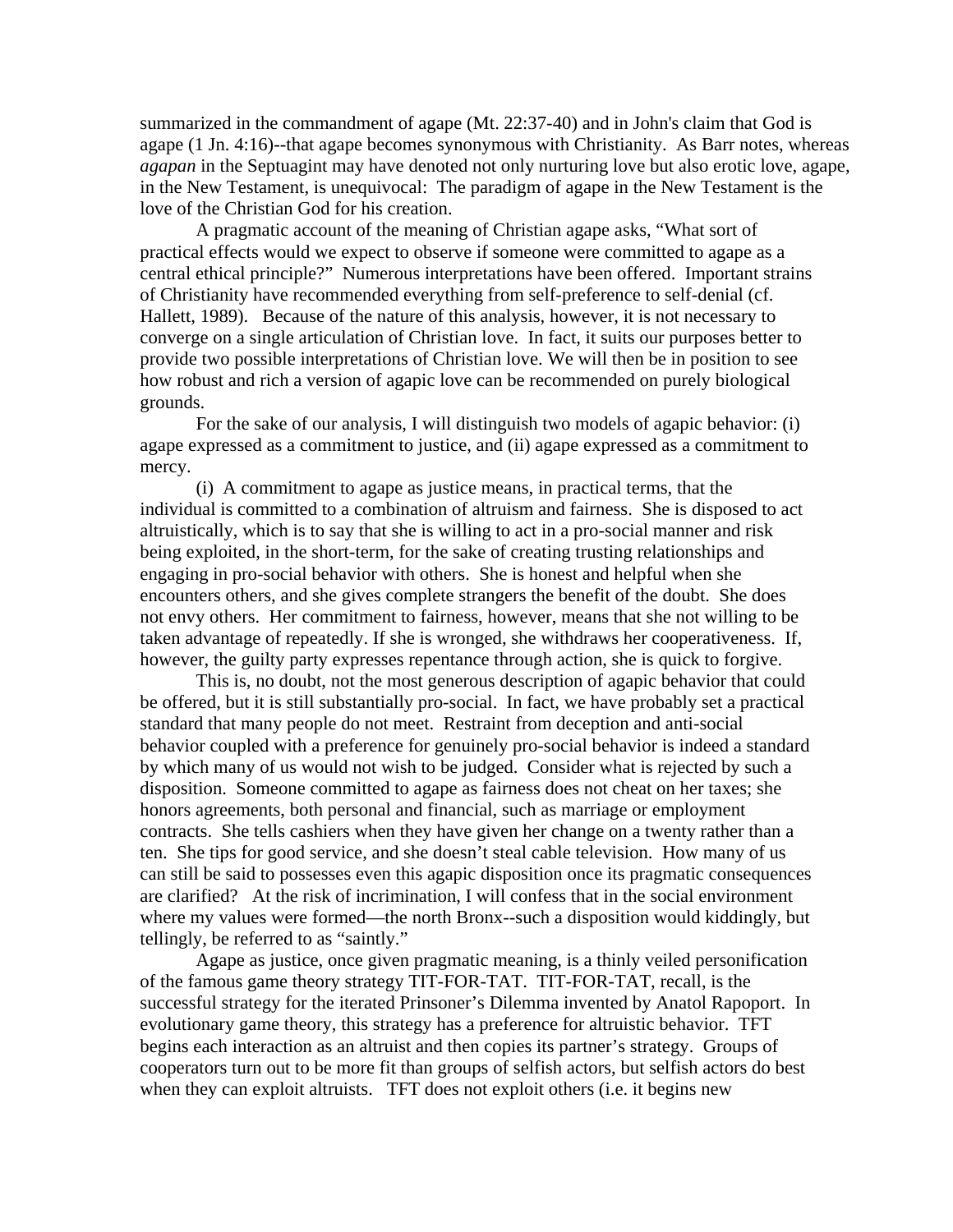summarized in the commandment of agape (Mt. 22:37-40) and in John's claim that God is agape (1 Jn. 4:16)--that agape becomes synonymous with Christianity. As Barr notes, whereas *agapan* in the Septuagint may have denoted not only nurturing love but also erotic love, agape, in the New Testament, is unequivocal: The paradigm of agape in the New Testament is the love of the Christian God for his creation.

A pragmatic account of the meaning of Christian agape asks, "What sort of practical effects would we expect to observe if someone were committed to agape as a central ethical principle?" Numerous interpretations have been offered. Important strains of Christianity have recommended everything from self-preference to self-denial (cf. Hallett, 1989). Because of the nature of this analysis, however, it is not necessary to converge on a single articulation of Christian love. In fact, it suits our purposes better to provide two possible interpretations of Christian love. We will then be in position to see how robust and rich a version of agapic love can be recommended on purely biological grounds.

For the sake of our analysis, I will distinguish two models of agapic behavior: (i) agape expressed as a commitment to justice, and (ii) agape expressed as a commitment to mercy.

(i) A commitment to agape as justice means, in practical terms, that the individual is committed to a combination of altruism and fairness. She is disposed to act altruistically, which is to say that she is willing to act in a pro-social manner and risk being exploited, in the short-term, for the sake of creating trusting relationships and engaging in pro-social behavior with others. She is honest and helpful when she encounters others, and she gives complete strangers the benefit of the doubt. She does not envy others. Her commitment to fairness, however, means that she not willing to be taken advantage of repeatedly. If she is wronged, she withdraws her cooperativeness. If, however, the guilty party expresses repentance through action, she is quick to forgive.

This is, no doubt, not the most generous description of agapic behavior that could be offered, but it is still substantially pro-social. In fact, we have probably set a practical standard that many people do not meet. Restraint from deception and anti-social behavior coupled with a preference for genuinely pro-social behavior is indeed a standard by which many of us would not wish to be judged. Consider what is rejected by such a disposition. Someone committed to agape as fairness does not cheat on her taxes; she honors agreements, both personal and financial, such as marriage or employment contracts. She tells cashiers when they have given her change on a twenty rather than a ten. She tips for good service, and she doesn't steal cable television. How many of us can still be said to possesses even this agapic disposition once its pragmatic consequences are clarified? At the risk of incrimination, I will confess that in the social environment where my values were formed—the north Bronx--such a disposition would kiddingly, but tellingly, be referred to as "saintly."

Agape as justice, once given pragmatic meaning, is a thinly veiled personification of the famous game theory strategy TIT-FOR-TAT. TIT-FOR-TAT, recall, is the successful strategy for the iterated Prinsoner's Dilemma invented by Anatol Rapoport. In evolutionary game theory, this strategy has a preference for altruistic behavior. TFT begins each interaction as an altruist and then copies its partner's strategy. Groups of cooperators turn out to be more fit than groups of selfish actors, but selfish actors do best when they can exploit altruists. TFT does not exploit others (i.e. it begins new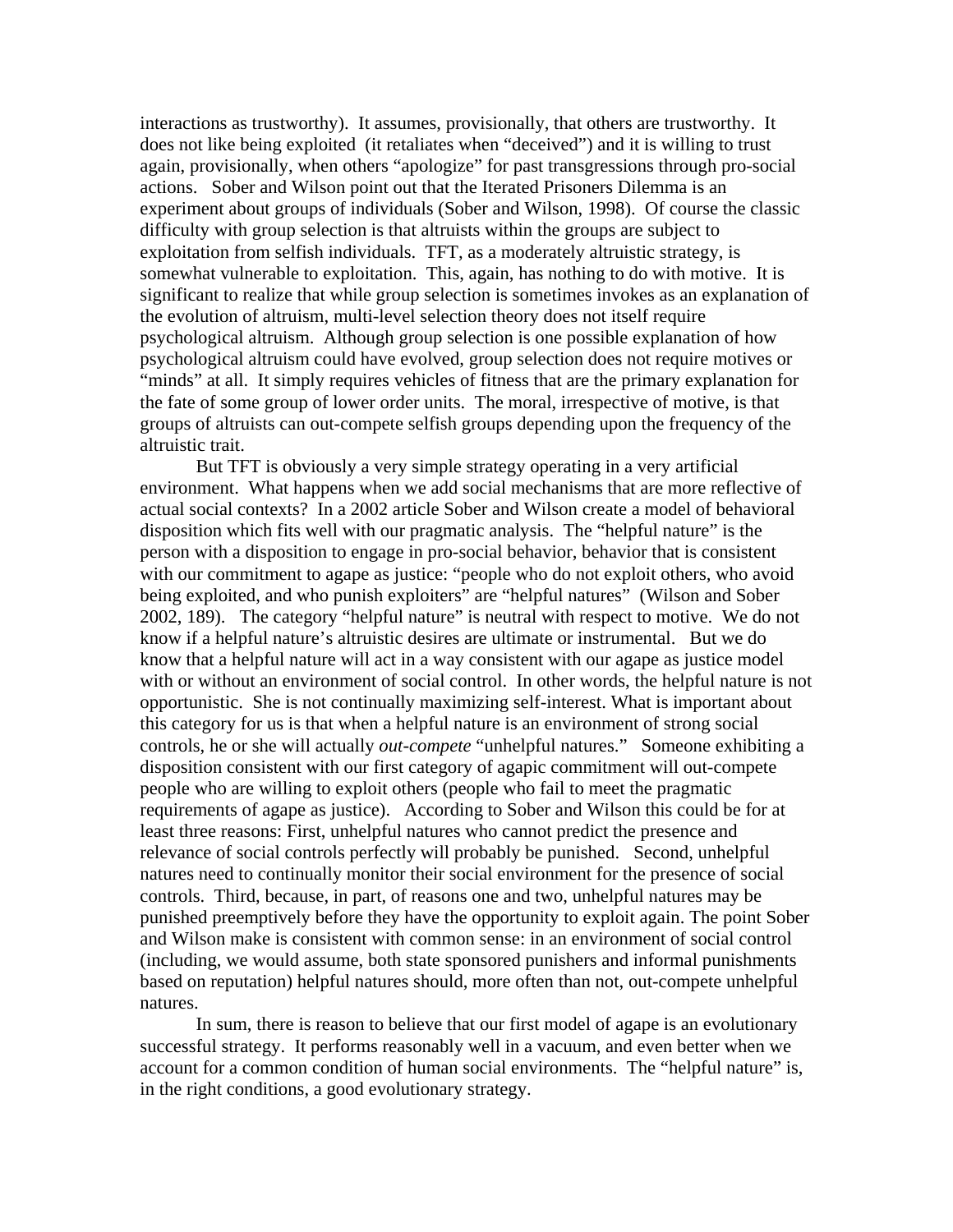interactions as trustworthy). It assumes, provisionally, that others are trustworthy. It does not like being exploited (it retaliates when "deceived") and it is willing to trust again, provisionally, when others "apologize" for past transgressions through pro-social actions. Sober and Wilson point out that the Iterated Prisoners Dilemma is an experiment about groups of individuals (Sober and Wilson, 1998). Of course the classic difficulty with group selection is that altruists within the groups are subject to exploitation from selfish individuals. TFT, as a moderately altruistic strategy, is somewhat vulnerable to exploitation. This, again, has nothing to do with motive. It is significant to realize that while group selection is sometimes invokes as an explanation of the evolution of altruism, multi-level selection theory does not itself require psychological altruism. Although group selection is one possible explanation of how psychological altruism could have evolved, group selection does not require motives or "minds" at all. It simply requires vehicles of fitness that are the primary explanation for the fate of some group of lower order units. The moral, irrespective of motive, is that groups of altruists can out-compete selfish groups depending upon the frequency of the altruistic trait.

But TFT is obviously a very simple strategy operating in a very artificial environment. What happens when we add social mechanisms that are more reflective of actual social contexts? In a 2002 article Sober and Wilson create a model of behavioral disposition which fits well with our pragmatic analysis. The "helpful nature" is the person with a disposition to engage in pro-social behavior, behavior that is consistent with our commitment to agape as justice: "people who do not exploit others, who avoid being exploited, and who punish exploiters" are "helpful natures" (Wilson and Sober 2002, 189). The category "helpful nature" is neutral with respect to motive. We do not know if a helpful nature's altruistic desires are ultimate or instrumental. But we do know that a helpful nature will act in a way consistent with our agape as justice model with or without an environment of social control. In other words, the helpful nature is not opportunistic. She is not continually maximizing self-interest. What is important about this category for us is that when a helpful nature is an environment of strong social controls, he or she will actually *out-compete* "unhelpful natures." Someone exhibiting a disposition consistent with our first category of agapic commitment will out-compete people who are willing to exploit others (people who fail to meet the pragmatic requirements of agape as justice). According to Sober and Wilson this could be for at least three reasons: First, unhelpful natures who cannot predict the presence and relevance of social controls perfectly will probably be punished. Second, unhelpful natures need to continually monitor their social environment for the presence of social controls. Third, because, in part, of reasons one and two, unhelpful natures may be punished preemptively before they have the opportunity to exploit again. The point Sober and Wilson make is consistent with common sense: in an environment of social control (including, we would assume, both state sponsored punishers and informal punishments based on reputation) helpful natures should, more often than not, out-compete unhelpful natures.

In sum, there is reason to believe that our first model of agape is an evolutionary successful strategy. It performs reasonably well in a vacuum, and even better when we account for a common condition of human social environments. The "helpful nature" is, in the right conditions, a good evolutionary strategy.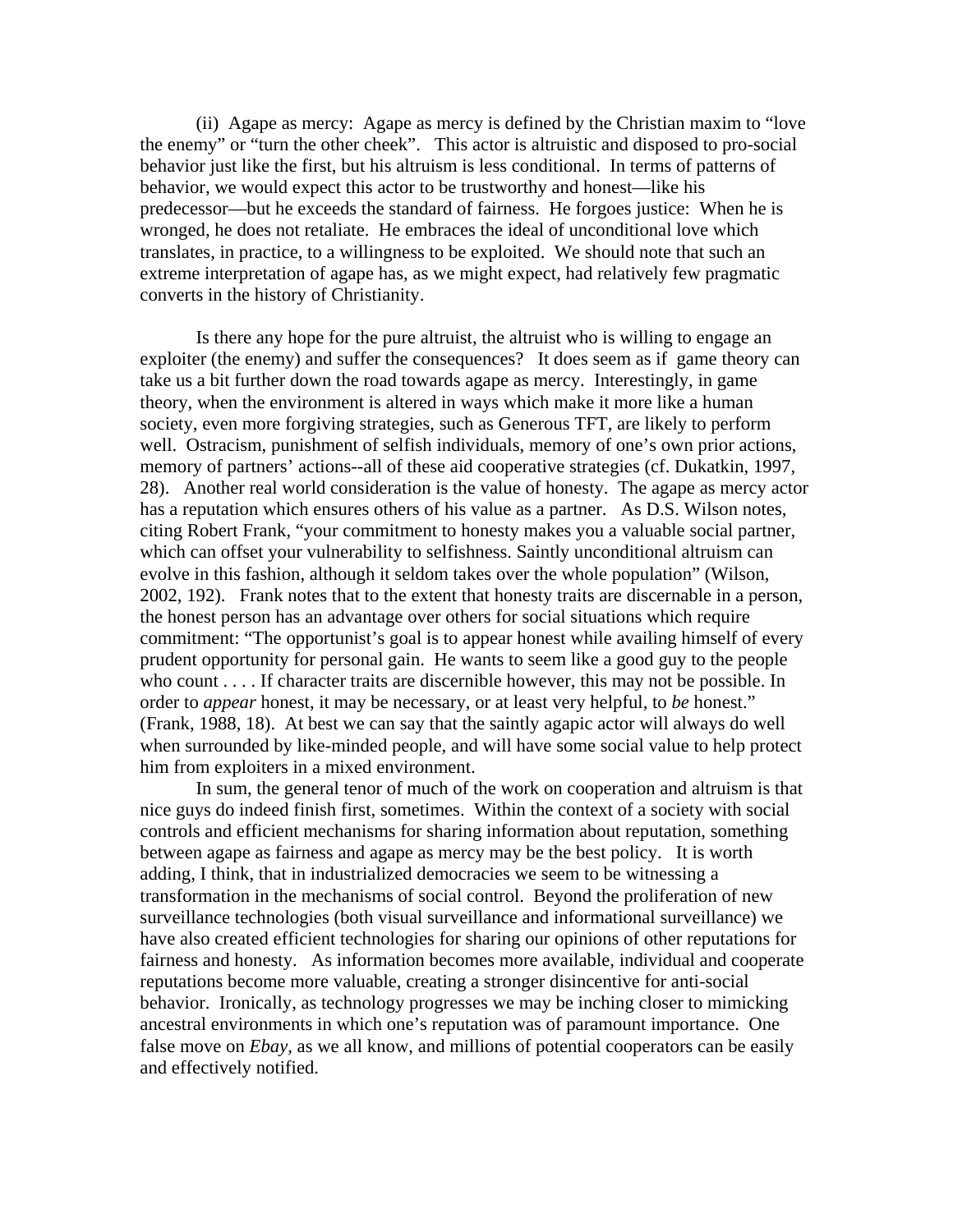(ii) Agape as mercy: Agape as mercy is defined by the Christian maxim to "love the enemy" or "turn the other cheek". This actor is altruistic and disposed to pro-social behavior just like the first, but his altruism is less conditional. In terms of patterns of behavior, we would expect this actor to be trustworthy and honest—like his predecessor—but he exceeds the standard of fairness. He forgoes justice: When he is wronged, he does not retaliate. He embraces the ideal of unconditional love which translates, in practice, to a willingness to be exploited. We should note that such an extreme interpretation of agape has, as we might expect, had relatively few pragmatic converts in the history of Christianity.

Is there any hope for the pure altruist, the altruist who is willing to engage an exploiter (the enemy) and suffer the consequences? It does seem as if game theory can take us a bit further down the road towards agape as mercy. Interestingly, in game theory, when the environment is altered in ways which make it more like a human society, even more forgiving strategies, such as Generous TFT, are likely to perform well. Ostracism, punishment of selfish individuals, memory of one's own prior actions, memory of partners' actions--all of these aid cooperative strategies (cf. Dukatkin, 1997, 28). Another real world consideration is the value of honesty. The agape as mercy actor has a reputation which ensures others of his value as a partner. As D.S. Wilson notes, citing Robert Frank, "your commitment to honesty makes you a valuable social partner, which can offset your vulnerability to selfishness. Saintly unconditional altruism can evolve in this fashion, although it seldom takes over the whole population" (Wilson, 2002, 192). Frank notes that to the extent that honesty traits are discernable in a person, the honest person has an advantage over others for social situations which require commitment: "The opportunist's goal is to appear honest while availing himself of every prudent opportunity for personal gain. He wants to seem like a good guy to the people who count . . . . If character traits are discernible however, this may not be possible. In order to *appear* honest, it may be necessary, or at least very helpful, to *be* honest." (Frank, 1988, 18). At best we can say that the saintly agapic actor will always do well when surrounded by like-minded people, and will have some social value to help protect him from exploiters in a mixed environment.

In sum, the general tenor of much of the work on cooperation and altruism is that nice guys do indeed finish first, sometimes. Within the context of a society with social controls and efficient mechanisms for sharing information about reputation, something between agape as fairness and agape as mercy may be the best policy. It is worth adding, I think, that in industrialized democracies we seem to be witnessing a transformation in the mechanisms of social control. Beyond the proliferation of new surveillance technologies (both visual surveillance and informational surveillance) we have also created efficient technologies for sharing our opinions of other reputations for fairness and honesty. As information becomes more available, individual and cooperate reputations become more valuable, creating a stronger disincentive for anti-social behavior. Ironically, as technology progresses we may be inching closer to mimicking ancestral environments in which one's reputation was of paramount importance. One false move on *Ebay*, as we all know, and millions of potential cooperators can be easily and effectively notified.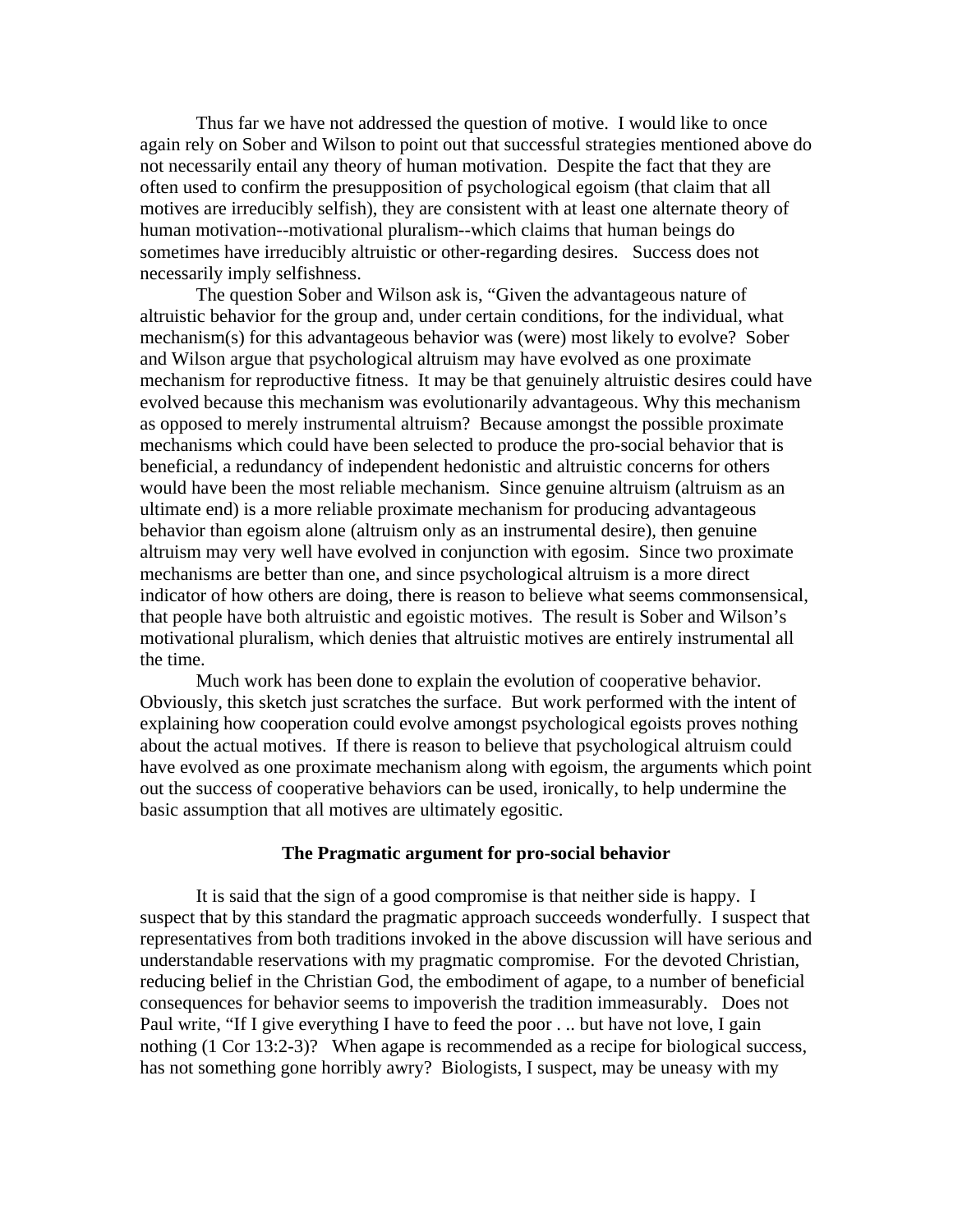Thus far we have not addressed the question of motive. I would like to once again rely on Sober and Wilson to point out that successful strategies mentioned above do not necessarily entail any theory of human motivation. Despite the fact that they are often used to confirm the presupposition of psychological egoism (that claim that all motives are irreducibly selfish), they are consistent with at least one alternate theory of human motivation--motivational pluralism--which claims that human beings do sometimes have irreducibly altruistic or other-regarding desires. Success does not necessarily imply selfishness.

The question Sober and Wilson ask is, "Given the advantageous nature of altruistic behavior for the group and, under certain conditions, for the individual, what mechanism(s) for this advantageous behavior was (were) most likely to evolve? Sober and Wilson argue that psychological altruism may have evolved as one proximate mechanism for reproductive fitness. It may be that genuinely altruistic desires could have evolved because this mechanism was evolutionarily advantageous. Why this mechanism as opposed to merely instrumental altruism? Because amongst the possible proximate mechanisms which could have been selected to produce the pro-social behavior that is beneficial, a redundancy of independent hedonistic and altruistic concerns for others would have been the most reliable mechanism. Since genuine altruism (altruism as an ultimate end) is a more reliable proximate mechanism for producing advantageous behavior than egoism alone (altruism only as an instrumental desire), then genuine altruism may very well have evolved in conjunction with egosim. Since two proximate mechanisms are better than one, and since psychological altruism is a more direct indicator of how others are doing, there is reason to believe what seems commonsensical, that people have both altruistic and egoistic motives. The result is Sober and Wilson's motivational pluralism, which denies that altruistic motives are entirely instrumental all the time.

Much work has been done to explain the evolution of cooperative behavior. Obviously, this sketch just scratches the surface. But work performed with the intent of explaining how cooperation could evolve amongst psychological egoists proves nothing about the actual motives. If there is reason to believe that psychological altruism could have evolved as one proximate mechanism along with egoism, the arguments which point out the success of cooperative behaviors can be used, ironically, to help undermine the basic assumption that all motives are ultimately egositic.

#### **The Pragmatic argument for pro-social behavior**

It is said that the sign of a good compromise is that neither side is happy. I suspect that by this standard the pragmatic approach succeeds wonderfully. I suspect that representatives from both traditions invoked in the above discussion will have serious and understandable reservations with my pragmatic compromise. For the devoted Christian, reducing belief in the Christian God, the embodiment of agape, to a number of beneficial consequences for behavior seems to impoverish the tradition immeasurably. Does not Paul write, "If I give everything I have to feed the poor . .. but have not love, I gain nothing (1 Cor 13:2-3)? When agape is recommended as a recipe for biological success, has not something gone horribly awry? Biologists, I suspect, may be uneasy with my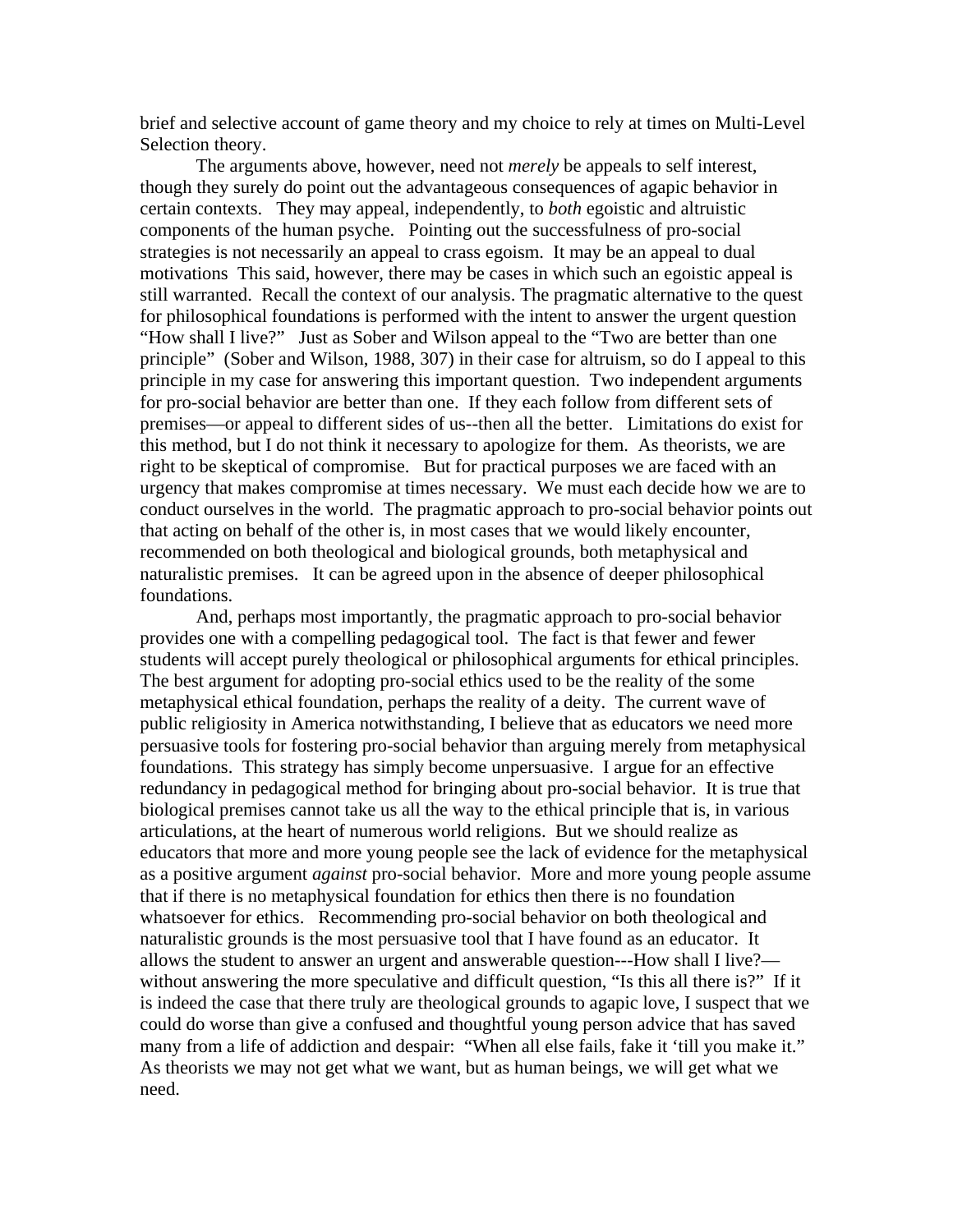brief and selective account of game theory and my choice to rely at times on Multi-Level Selection theory.

The arguments above, however, need not *merely* be appeals to self interest, though they surely do point out the advantageous consequences of agapic behavior in certain contexts. They may appeal, independently, to *both* egoistic and altruistic components of the human psyche. Pointing out the successfulness of pro-social strategies is not necessarily an appeal to crass egoism. It may be an appeal to dual motivations This said, however, there may be cases in which such an egoistic appeal is still warranted. Recall the context of our analysis. The pragmatic alternative to the quest for philosophical foundations is performed with the intent to answer the urgent question "How shall I live?" Just as Sober and Wilson appeal to the "Two are better than one principle" (Sober and Wilson, 1988, 307) in their case for altruism, so do I appeal to this principle in my case for answering this important question. Two independent arguments for pro-social behavior are better than one. If they each follow from different sets of premises—or appeal to different sides of us--then all the better. Limitations do exist for this method, but I do not think it necessary to apologize for them. As theorists, we are right to be skeptical of compromise. But for practical purposes we are faced with an urgency that makes compromise at times necessary. We must each decide how we are to conduct ourselves in the world. The pragmatic approach to pro-social behavior points out that acting on behalf of the other is, in most cases that we would likely encounter, recommended on both theological and biological grounds, both metaphysical and naturalistic premises. It can be agreed upon in the absence of deeper philosophical foundations.

And, perhaps most importantly, the pragmatic approach to pro-social behavior provides one with a compelling pedagogical tool. The fact is that fewer and fewer students will accept purely theological or philosophical arguments for ethical principles. The best argument for adopting pro-social ethics used to be the reality of the some metaphysical ethical foundation, perhaps the reality of a deity. The current wave of public religiosity in America notwithstanding, I believe that as educators we need more persuasive tools for fostering pro-social behavior than arguing merely from metaphysical foundations. This strategy has simply become unpersuasive. I argue for an effective redundancy in pedagogical method for bringing about pro-social behavior. It is true that biological premises cannot take us all the way to the ethical principle that is, in various articulations, at the heart of numerous world religions. But we should realize as educators that more and more young people see the lack of evidence for the metaphysical as a positive argument *against* pro-social behavior. More and more young people assume that if there is no metaphysical foundation for ethics then there is no foundation whatsoever for ethics. Recommending pro-social behavior on both theological and naturalistic grounds is the most persuasive tool that I have found as an educator. It allows the student to answer an urgent and answerable question---How shall I live? without answering the more speculative and difficult question, "Is this all there is?" If it is indeed the case that there truly are theological grounds to agapic love, I suspect that we could do worse than give a confused and thoughtful young person advice that has saved many from a life of addiction and despair: "When all else fails, fake it 'till you make it." As theorists we may not get what we want, but as human beings, we will get what we need.